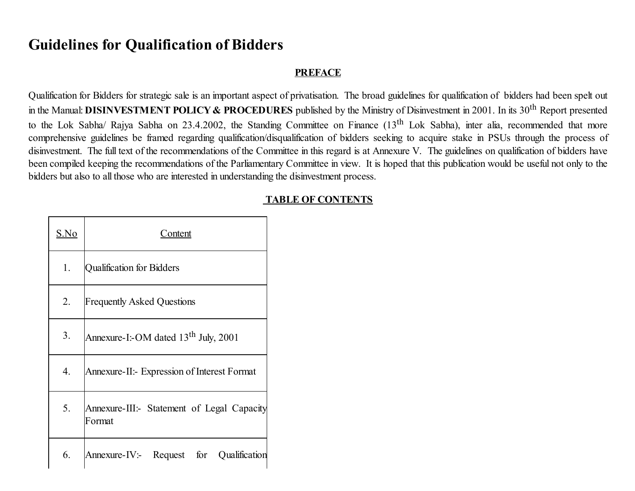# Guidelines for Qualification of Bidders

## **PREFACE**

Qualification for Bidders for strategic sale is an important aspect of privatisation. The broad guidelines for qualification of bidders had been spelt out in the Manual: DISINVESTMENT POLICY & PROCEDURES published by the Ministry of Disinvestment in 2001. In its 30<sup>th</sup> Report presented to the Lok Sabha/ Rajya Sabha on 23.4.2002, the Standing Committee on Finance (13<sup>th</sup> Lok Sabha), inter alia, recommended that more comprehensive guidelines be framed regarding qualification/disqualification of bidders seeking to acquire stake in PSUs through the process of disinvestment. The full text of the recommendations of the Committee in this regard is at Annexure V. The guidelines on qualification of bidders have been compiled keeping the recommendations of the Parliamentary Committee in view. It is hoped that this publication would be useful not only to the bidders but also to all those who are interested in understanding the disinvestment process.

| S.No | Content                                              |
|------|------------------------------------------------------|
| 1.   | <b>Qualification for Bidders</b>                     |
| 2.   | <b>Frequently Asked Questions</b>                    |
| 3.   | Annexure-I:-OM dated $13th$ July, 2001               |
| 4.   | Annexure-II:- Expression of Interest Format          |
| 5.   | Annexure-III:- Statement of Legal Capacity<br>Format |
| 6.   | Annexure-IV:- Request for Qualification              |

## TABLE OF CONTENTS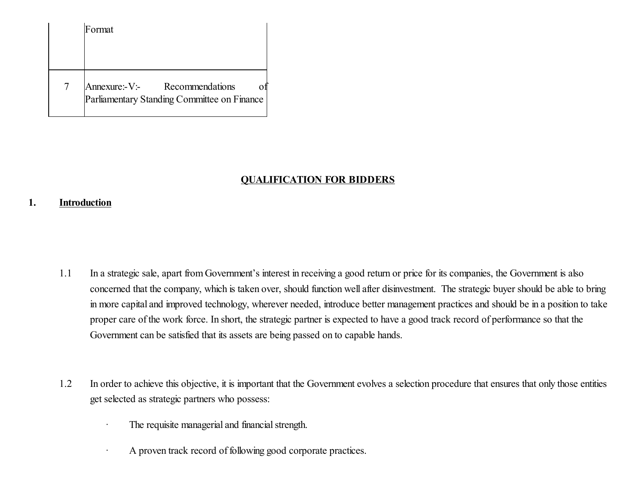| Format                                                                       |
|------------------------------------------------------------------------------|
| Annexure:-V:- Recommendations<br>Parliamentary Standing Committee on Finance |

## QUALIFICATION FOR BIDDERS

## 1. Introduction

- 1.1 In a strategic sale, apart from Government's interest in receiving a good return or price for its companies, the Government is also concerned that the company, which is taken over, should function well after disinvestment. The strategic buyer should be able to bring in more capital and improved technology, wherever needed, introduce better management practices and should be in a position to take proper care of the work force. In short, the strategic partner is expected to have a good track record of performance so that the Government can be satisfied that its assets are being passed on to capable hands.
- 1.2 In order to achieve this objective, it is important that the Government evolves a selection procedure that ensures that only those entities get selected as strategic partners who possess:
	- · The requisite managerial and financialstrength.
		- A proven track record of following good corporate practices.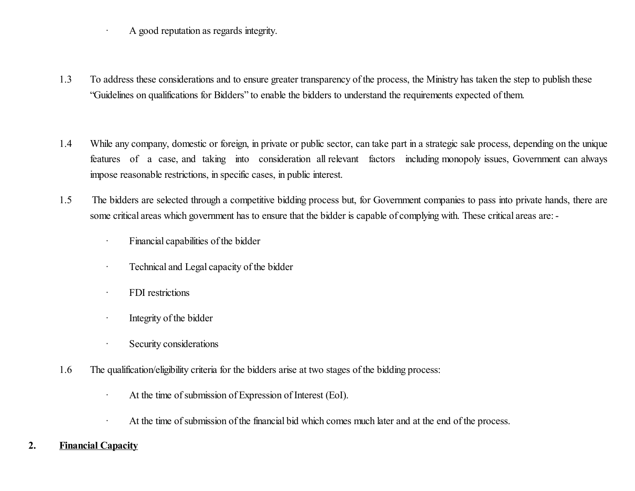· A good reputation as regards integrity.

- 1.3 To address these considerations and to ensure greater transparency of the process, the Ministry has taken the step to publish these "Guidelines on qualifications for Bidders" to enable the bidders to understand the requirements expected of them.
- 1.4 While any company, domestic or foreign, in private or public sector, can take part in a strategic sale process, depending on the unique features of a case, and taking into consideration all relevant factors including monopoly issues, Government can always impose reasonable restrictions, in specific cases, in public interest.
- 1.5 The bidders are selected through a competitive bidding process but, for Government companies to pass into private hands, there are some critical areas which government has to ensure that the bidder is capable of complying with. These critical areas are:-
	- · Financial capabilities of the bidder
	- Technical and Legal capacity of the bidder
	- · FDI restrictions
	- · Integrity of the bidder
	- · Security considerations
- 1.6 The qualification/eligibility criteria for the bidders arise at two stages of the bidding process:
	- · At the time ofsubmission of Expression of Interest (EoI).
	- · At the time ofsubmission of the financial bid which comes much later and at the end of the process.

### 2. Financial Capacity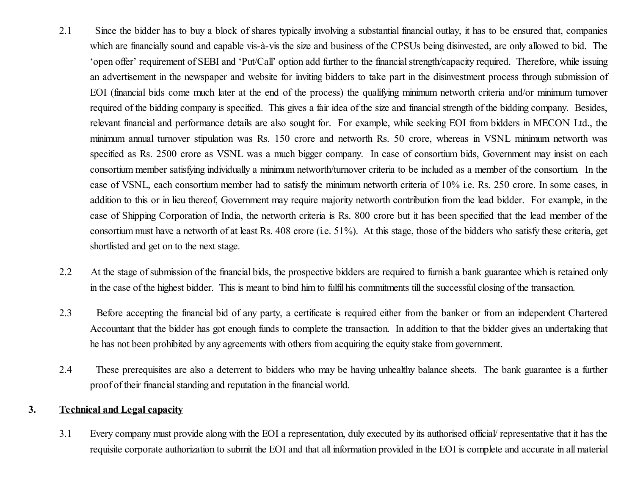- 2.1 Since the bidder has to buy a block of shares typically involving a substantial financial outlay, it has to be ensured that, companies which are financially sound and capable vis-à-vis the size and business of the CPSUs being disinvested, are only allowed to bid. The 'open offer' requirement of SEBI and 'Put/Call' option add further to the financial strength/capacity required. Therefore, while issuing an advertisement in the newspaper and website for inviting bidders to take part in the disinvestment process through submission of EOI (financial bids come much later at the end of the process) the qualifying minimum networth criteria and/or minimum turnover required of the bidding company is specified. This gives a fair idea of the size and financial strength of the bidding company. Besides, relevant financial and performance details are also sought for. For example, while seeking EOI from bidders in MECON Ltd., the minimum annual turnover stipulation was Rs. 150 crore and networth Rs. 50 crore, whereas in VSNL minimum networth was specified as Rs. 2500 crore as VSNL was a much bigger company. In case of consortium bids, Government may insist on each consortium member satisfying individually a minimum networth/turnover criteria to be included as a member of the consortium. In the case of VSNL, each consortium member had to satisfy the minimum networth criteria of 10% i.e. Rs. 250 crore. In some cases, in addition to this or in lieu thereof, Government may require majority networth contribution from the lead bidder. For example, in the case of Shipping Corporation of India, the networth criteria is Rs. 800 crore but it has been specified that the lead member of the consortium must have a networth of at least Rs. 408 crore (i.e. 51%). At this stage, those of the bidders who satisfy these criteria, get shortlisted and get on to the next stage.
- 2.2 At the stage of submission of the financial bids, the prospective bidders are required to furnish a bank guarantee which is retained only in the case of the highest bidder. This is meant to bind him to fulfil his commitments till the successful closing of the transaction.
- 2.3 Before accepting the financial bid of any party, a certificate is required either from the banker or from an independent Chartered Accountant that the bidder has got enough funds to complete the transaction. In addition to that the bidder gives an undertaking that he has not been prohibited by any agreements with others from acquiring the equity stake from government.
- 2.4 These prerequisites are also a deterrent to bidders who may be having unhealthy balance sheets. The bank guarantee is a further proof of their financial standing and reputation in the financial world.

### 3. Technical and Legal capacity

3.1 Every company must provide along with the EOI a representation, duly executed by its authorised official/ representative that it has the requisite corporate authorization to submit the EOI and that all information provided in the EOI is complete and accurate in all material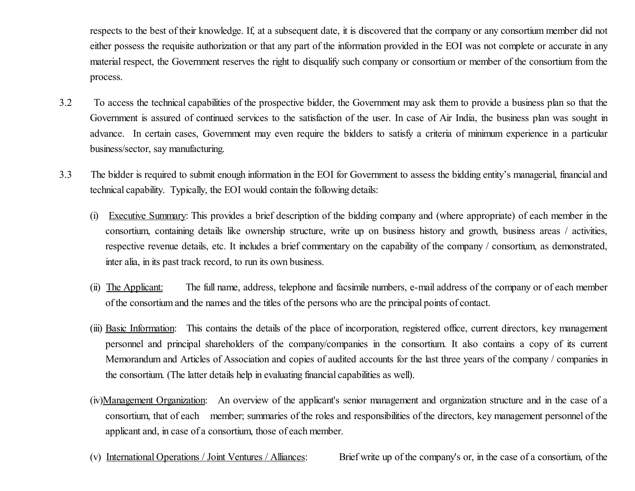respects to the best of their knowledge. If, at a subsequent date, it is discovered that the company or any consortium member did not either possess the requisite authorization or that any part of the information provided in the EOI was not complete or accurate in any material respect, the Government reserves the right to disqualify such company or consortium or member of the consortium from the process.

- 3.2 To access the technical capabilities of the prospective bidder, the Government may ask them to provide a business plan so that the Government is assured of continued services to the satisfaction of the user. In case of Air India, the business plan was sought in advance. In certain cases, Government may even require the bidders to satisfy a criteria of minimum experience in a particular business/sector, say manufacturing.
- 3.3 The bidder is required to submit enough information in the EOI for Government to assess the bidding entity's managerial, financial and technical capability. Typically, the EOI would contain the following details:
	- (i) Executive Summary: This provides a brief description of the bidding company and (where appropriate) of each member in the consortium, containing details like ownership structure, write up on business history and growth, business areas / activities, respective revenue details, etc. It includes a brief commentary on the capability of the company / consortium, as demonstrated, inter alia, in its past track record, to run its own business.
	- (ii) The Applicant: The full name, address, telephone and facsimile numbers, e-mail address of the company or of each member of the consortium and the names and the titles of the persons who are the principal points of contact.
	- (iii) Basic Information: This contains the details of the place of incorporation, registered office, current directors, key management personnel and principal shareholders of the company/companies in the consortium. It also contains a copy of its current Memorandum and Articles of Association and copies of audited accounts for the last three years of the company / companies in the consortium. (The latter details help in evaluating financial capabilities as well).
	- (iv)Management Organization: An overview of the applicant's senior management and organization structure and in the case of a consortium, that of each member; summaries of the roles and responsibilities of the directors, key management personnel of the applicant and, in case of a consortium, those of each member.
	- (v) International Operations / Joint Ventures / Alliances: Brief write up of the company's or, in the case of a consortium, of the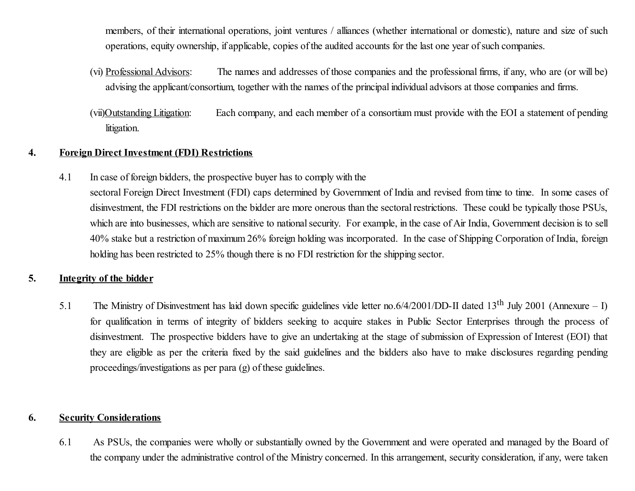members, of their international operations, joint ventures / alliances (whether international or domestic), nature and size of such operations, equity ownership, if applicable, copies of the audited accounts for the last one year ofsuch companies.

- (vi) Professional Advisors: The names and addresses of those companies and the professional firms, if any, who are (or will be) advising the applicant/consortium, together with the names of the principal individual advisors at those companies and firms.
- (vii)Outstanding Litigation: Each company, and each member of a consortium must provide with the EOI a statement of pending litigation.

### 4. Foreign Direct Investment (FDI) Restrictions

4.1 In case of foreign bidders, the prospective buyer has to comply with the

sectoral Foreign Direct Investment (FDI) caps determined by Government of India and revised from time to time. In some cases of disinvestment, the FDI restrictions on the bidder are more onerous than the sectoral restrictions. These could be typically those PSUs, which are into businesses, which are sensitive to national security. For example, in the case of Air India, Government decision is to sell 40% stake but a restriction of maximum 26% foreign holding was incorporated. In the case of Shipping Corporation of India, foreign holding has been restricted to 25% though there is no FDI restriction for the shipping sector.

## 5. Integrity of the bidder

5.1 The Ministry of Disinvestment has laid down specific guidelines vide letter no.6/4/2001/DD-II dated 13<sup>th</sup> July 2001 (Annexure – I) for qualification in terms of integrity of bidders seeking to acquire stakes in Public Sector Enterprises through the process of disinvestment. The prospective bidders have to give an undertaking at the stage of submission of Expression of Interest (EOI) that they are eligible as per the criteria fixed by the said guidelines and the bidders also have to make disclosures regarding pending proceedings/investigations as per para (g) of these guidelines.

#### 6. Security Considerations

6.1 As PSUs, the companies were wholly or substantially owned by the Government and were operated and managed by the Board of the company under the administrative control of the Ministry concerned. In this arrangement, security consideration, if any, were taken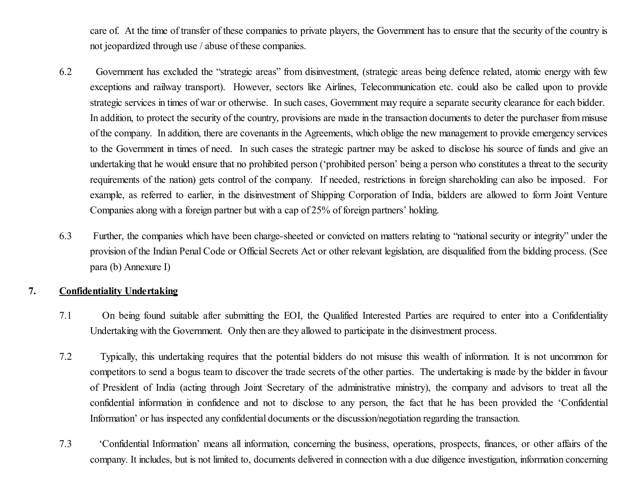care of. At the time of transfer of these companies to private players, the Government has to ensure that the security of the country is not jeopardized through use / abuse of these companies.

- 6.2 Government has excluded the "strategic areas" from disinvestment, (strategic areas being defence related, atomic energy with few exceptions and railway transport). However, sectors like Airlines, Telecommunication etc. could also be called upon to provide strategic services in times of war or otherwise. In such cases, Government may require a separate security clearance for each bidder. In addition, to protect the security of the country, provisions are made in the transaction documents to deter the purchaser from misuse of the company. In addition, there are covenants in the Agreements, which oblige the new management to provide emergency services to the Government in times of need. In such cases the strategic partner may be asked to disclose his source of funds and give an undertaking that he would ensure that no prohibited person ('prohibited person' being a person who constitutes a threat to the security requirements of the nation) gets control of the company. If needed, restrictions in foreign shareholding can also be imposed. For example, as referred to earlier, in the disinvestment of Shipping Corporation of India, bidders are allowed to form Joint Venture Companies along with a foreign partner but with a cap of 25% of foreign partners' holding.
- 6.3 Further, the companies which have been charge-sheeted or convicted on matters relating to "national security or integrity" under the provision of the Indian Penal Code or Official Secrets Act or other relevant legislation, are disqualified from the bidding process. (See para (b) Annexure I)

## 7. Confidentiality Undertaking

- 7.1 On being found suitable after submitting the EOI, the Qualified Interested Parties are required to enter into a Confidentiality Undertaking with the Government. Only then are they allowed to participate in the disinvestment process.
- 7.2 Typically, this undertaking requires that the potential bidders do not misuse this wealth of information. It is not uncommon for competitors to send a bogus team to discover the trade secrets of the other parties. The undertaking is made by the bidder in favour of President of India (acting through Joint Secretary of the administrative ministry), the company and advisors to treat all the confidential information in confidence and not to disclose to any person, the fact that he has been provided the 'Confidential Information' or has inspected any confidential documents or the discussion/negotiation regarding the transaction.
- 7.3 'Confidential Information' means all information, concerning the business, operations, prospects, finances, or other affairs of the company. It includes, but is not limited to, documents delivered in connection with a due diligence investigation, information concerning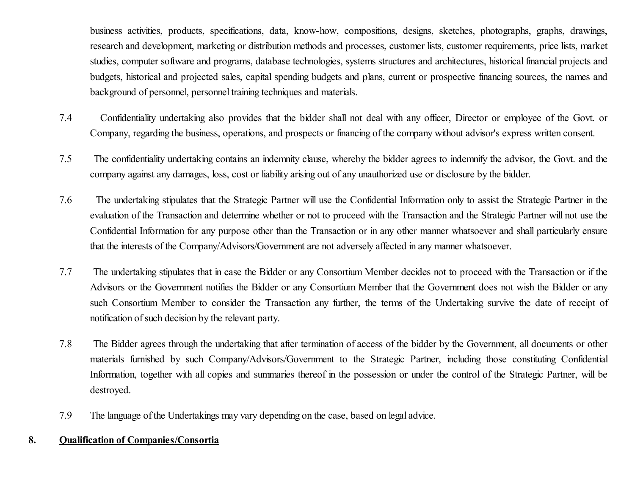business activities, products, specifications, data, know-how, compositions, designs, sketches, photographs, graphs, drawings, research and development, marketing or distribution methods and processes, customer lists, customer requirements, price lists, market studies, computer software and programs, database technologies, systems structures and architectures, historical financial projects and budgets, historical and projected sales, capital spending budgets and plans, current or prospective financing sources, the names and background of personnel, personnel training techniques and materials.

- 7.4 Confidentiality undertaking also provides that the bidder shall not deal with any officer, Director or employee of the Govt. or Company, regarding the business, operations, and prospects or financing of the company without advisor's express written consent.
- 7.5 The confidentiality undertaking contains an indemnity clause, whereby the bidder agrees to indemnify the advisor, the Govt. and the company against any damages, loss, cost or liability arising out of any unauthorized use or disclosure by the bidder.
- 7.6 The undertaking stipulates that the Strategic Partner will use the Confidential Information only to assist the Strategic Partner in the evaluation of the Transaction and determine whether or not to proceed with the Transaction and the Strategic Partner will not use the Confidential Information for any purpose other than the Transaction or in any other manner whatsoever and shall particularly ensure that the interests of the Company/Advisors/Government are not adversely affected in any manner whatsoever.
- 7.7 The undertaking stipulates that in case the Bidder or any Consortium Member decides not to proceed with the Transaction or if the Advisors or the Government notifies the Bidder or any Consortium Member that the Government does not wish the Bidder or any such Consortium Member to consider the Transaction any further, the terms of the Undertaking survive the date of receipt of notification of such decision by the relevant party.
- 7.8 The Bidder agrees through the undertaking that after termination of access of the bidder by the Government, all documents or other materials furnished by such Company/Advisors/Government to the Strategic Partner, including those constituting Confidential Information, together with all copies and summaries thereof in the possession or under the control of the Strategic Partner, will be destroyed.
- 7.9 The language of the Undertakings may vary depending on the case, based on legal advice.

## 8. Qualification of Companies/Consortia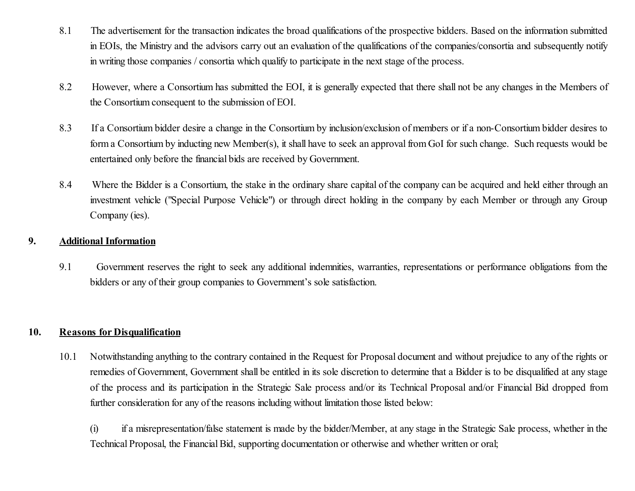- 8.1 The advertisement for the transaction indicates the broad qualifications of the prospective bidders. Based on the information submitted in EOIs, the Ministry and the advisors carry out an evaluation of the qualifications of the companies/consortia and subsequently notify in writing those companies / consortia which qualify to participate in the next stage of the process.
- 8.2 However, where a Consortium has submitted the EOI, it is generally expected that there shall not be any changes in the Members of the Consortium consequent to the submission of EOI.
- 8.3 If a Consortium bidder desire a change in the Consortium by inclusion/exclusion of members or if a non-Consortium bidder desires to form a Consortium by inducting new Member(s), it shall have to seek an approval from GoI for such change. Such requests would be entertained only before the financial bids are received by Government.
- 8.4 Where the Bidder is a Consortium, the stake in the ordinary share capital of the company can be acquired and held either through an investment vehicle ("Special Purpose Vehicle") or through direct holding in the company by each Member or through any Group Company (ies).

## 9. Additional Information

9.1 Government reserves the right to seek any additional indemnities, warranties, representations or performance obligations from the bidders or any of their group companies to Government's sole satisfaction.

## 10. Reasons for Disqualification

10.1 Notwithstanding anything to the contrary contained in the Request for Proposal document and without prejudice to any of the rights or remedies of Government, Government shall be entitled in its sole discretion to determine that a Bidder is to be disqualified at any stage of the process and its participation in the Strategic Sale process and/or its Technical Proposal and/or Financial Bid dropped from further consideration for any of the reasons including without limitation those listed below:

(i) if a misrepresentation/false statement is made by the bidder/Member, at any stage in the Strategic Sale process, whether in the Technical Proposal, the Financial Bid, supporting documentation or otherwise and whether written or oral;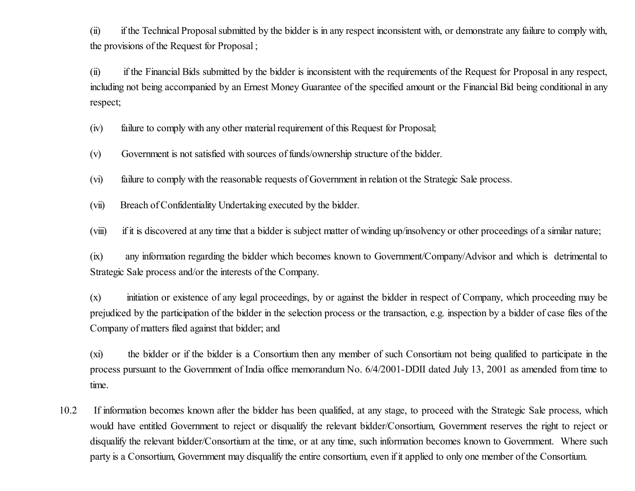(ii) if the Technical Proposalsubmitted by the bidder is in any respect inconsistent with, or demonstrate any failure to comply with, the provisions of the Request for Proposal ;

(ii) if the Financial Bids submitted by the bidder is inconsistent with the requirements of the Request for Proposal in any respect, including not being accompanied by an Ernest Money Guarantee of the specified amount or the Financial Bid being conditional in any respect;

- (iv) failure to comply with any other material requirement of this Request for Proposal;
- (v) Government is not satisfied with sources of funds/ownership structure of the bidder.
- (vi) failure to comply with the reasonable requests of Government in relation ot the Strategic Sale process.
- (vii) Breach of Confidentiality Undertaking executed by the bidder.
- (viii) if it is discovered at any time that a bidder is subject matter of winding up/insolvency or other proceedings of a similar nature;

(ix) any information regarding the bidder which becomes known to Government/Company/Advisor and which is detrimental to Strategic Sale process and/or the interests of the Company.

(x) initiation or existence of any legal proceedings, by or against the bidder in respect of Company, which proceeding may be prejudiced by the participation of the bidder in the selection process or the transaction, e.g. inspection by a bidder of case files of the Company of matters filed against that bidder; and

(xi) the bidder or if the bidder is a Consortium then any member of such Consortium not being qualified to participate in the process pursuant to the Government of India office memorandum No. 6/4/2001-DDII dated July 13, 2001 as amended from time to time.

10.2 If information becomes known after the bidder has been qualified, at any stage, to proceed with the Strategic Sale process, which would have entitled Government to reject or disqualify the relevant bidder/Consortium, Government reserves the right to reject or disqualify the relevant bidder/Consortium at the time, or at any time, such information becomes known to Government. Where such party is a Consortium, Government may disqualify the entire consortium, even if it applied to only one member of the Consortium.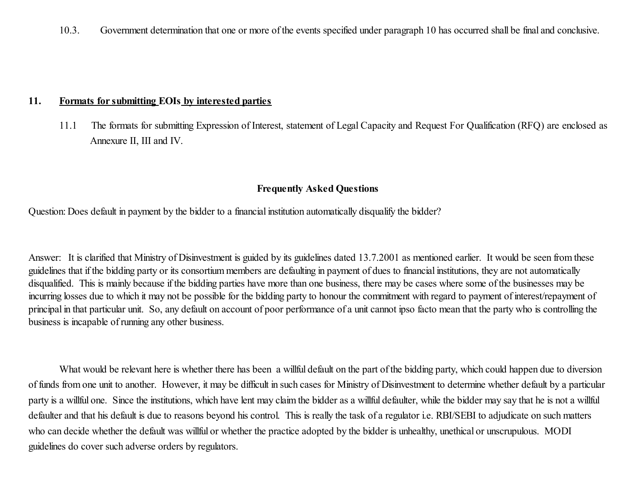10.3. Government determination that one or more of the events specified under paragraph 10 has occurred shall be final and conclusive.

#### 11. Formats for submitting EOIs by interested parties

11.1 The formats for submitting Expression of Interest, statement of Legal Capacity and Request For Qualification (RFQ) are enclosed as Annexure II, III and IV.

#### Frequently Asked Questions

Question: Does default in payment by the bidder to a financial institution automatically disqualify the bidder?

Answer: It is clarified that Ministry of Disinvestment is guided by its guidelines dated 13.7.2001 as mentioned earlier. It would be seen from these guidelines that if the bidding party or its consortium members are defaulting in payment of dues to financial institutions, they are not automatically disqualified. This is mainly because if the bidding parties have more than one business, there may be cases where some of the businesses may be incurring losses due to which it may not be possible for the bidding party to honour the commitment with regard to payment of interest/repayment of principal in that particular unit. So, any default on account of poor performance of a unit cannot ipso facto mean that the party who is controlling the business is incapable of running any other business.

What would be relevant here is whether there has been a willful default on the part of the bidding party, which could happen due to diversion of funds from one unit to another. However, it may be difficult in such cases for Ministry of Disinvestment to determine whether default by a particular party is a willful one. Since the institutions, which have lent may claim the bidder as a willful defaulter, while the bidder may say that he is not a willful defaulter and that his default is due to reasons beyond his control. This is really the task of a regulator i.e. RBI/SEBI to adjudicate on such matters who can decide whether the default was willful or whether the practice adopted by the bidder is unhealthy, unethical or unscrupulous. MODI guidelines do cover such adverse orders by regulators.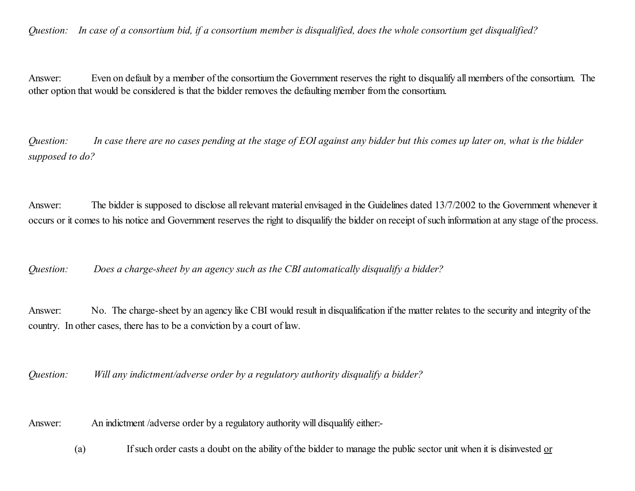Question: In case of a consortium bid, if a consortium member is disqualified, does the whole consortium get disqualified?

Answer: Even on default by a member of the consortium the Government reserves the right to disqualify all members of the consortium. The other option that would be considered is that the bidder removes the defaulting member from the consortium.

Question: In case there are no cases pending at the stage of EOI against any bidder but this comes up later on, what is the bidder *supposed to do?*

Answer: The bidder is supposed to disclose allrelevant material envisaged in the Guidelines dated 13/7/2002 to the Government whenever it occurs or it comes to his notice and Government reserves the right to disqualify the bidder on receipt of such information at any stage of the process.

*Question: Does a charge-sheet by an agency such as the CBI automatically disqualify a bidder?*

Answer: No. The charge-sheet by an agency like CBI would result in disqualification if the matter relates to the security and integrity of the country. In other cases, there has to be a conviction by a court of law.

*Question: Will any indictment/adverse order by a regulatory authority disqualify a bidder?*

Answer: An indictment /adverse order by a regulatory authority will disqualify either:-

(a) If such order casts a doubt on the ability of the bidder to manage the public sector unit when it is disinvested or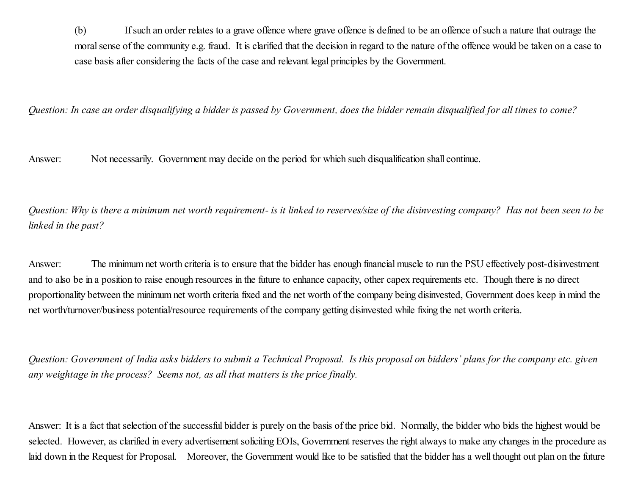(b) Ifsuch an order relates to a grave offence where grave offence is defined to be an offence ofsuch a nature that outrage the moralsense of the community e.g. fraud. It is clarified that the decision in regard to the nature of the offence would be taken on a case to case basis after considering the facts of the case and relevant legal principles by the Government.

Question: In case an order disqualifying a bidder is passed by Government, does the bidder remain disqualified for all times to come?

Answer: Not necessarily. Government may decide on the period for which such disqualification shall continue.

Question: Why is there a minimum net worth requirement- is it linked to reserves/size of the disinvesting company? Has not been seen to be *linked in the past?*

Answer: The minimum net worth criteria is to ensure that the bidder has enough financial muscle to run the PSU effectively post-disinvestment and to also be in a position to raise enough resources in the future to enhance capacity, other capex requirements etc. Though there is no direct proportionality between the minimum net worth criteria fixed and the net worth of the company being disinvested, Government does keep in mind the net worth/turnover/business potential/resource requirements of the company getting disinvested while fixing the net worth criteria.

Question: Government of India asks bidders to submit a Technical Proposal. Is this proposal on bidders' plans for the company etc. given *any weightage in the process? Seems not, as all that matters is the price finally.*

Answer: It is a fact that selection of the successful bidder is purely on the basis of the price bid. Normally, the bidder who bids the highest would be selected. However, as clarified in every advertisement soliciting EOIs, Government reserves the right always to make any changes in the procedure as laid down in the Request for Proposal. Moreover, the Government would like to be satisfied that the bidder has a well thought out plan on the future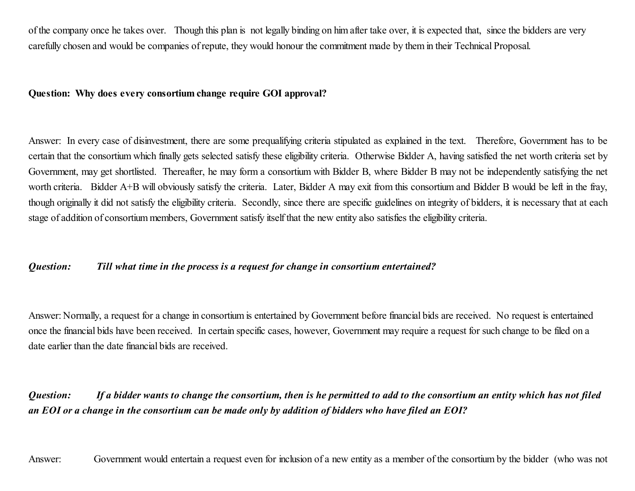of the company once he takes over. Though this plan is not legally binding on him after take over, it is expected that, since the bidders are very carefully chosen and would be companies of repute, they would honour the commitment made by them in their Technical Proposal.

#### Question: Why does every consortium change require GOI approval?

Answer: In every case of disinvestment, there are some prequalifying criteria stipulated as explained in the text. Therefore, Government has to be certain that the consortium which finally gets selected satisfy these eligibility criteria. Otherwise Bidder A, having satisfied the net worth criteria set by Government, may get shortlisted. Thereafter, he may form a consortium with Bidder B, where Bidder B may not be independently satisfying the net worth criteria. Bidder A+B will obviously satisfy the criteria. Later, Bidder A may exit from this consortium and Bidder B would be left in the fray, though originally it did not satisfy the eligibility criteria. Secondly, since there are specific guidelines on integrity of bidders, it is necessary that at each stage of addition of consortium members, Government satisfy itself that the new entity also satisfies the eligibility criteria.

#### *Question: Till what time in the process is a request for change in consortium entertained?*

Answer: Normally, a request for a change in consortium is entertained by Government before financial bids are received. No request is entertained once the financial bids have been received. In certain specific cases, however, Government may require a request for such change to be filed on a date earlier than the date financial bids are received.

Question: If a bidder wants to change the consortium, then is he permitted to add to the consortium an entity which has not filed an EOI or a change in the consortium can be made only by addition of bidders who have filed an EOI?

Answer: Government would entertain a request even for inclusion of a new entity as a member of the consortium by the bidder (who was not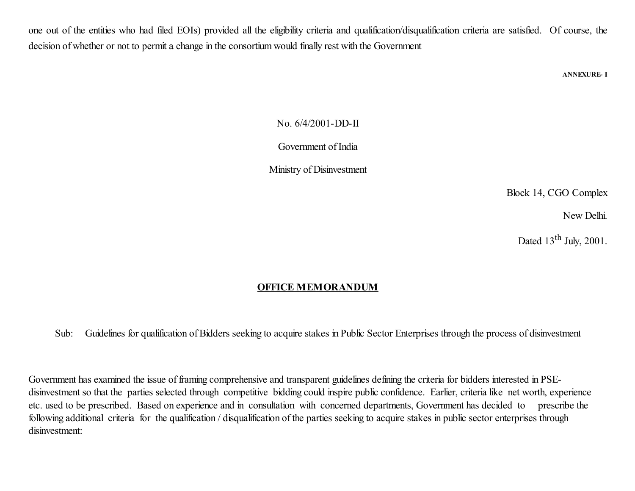one out of the entities who had filed EOIs) provided all the eligibility criteria and qualification/disqualification criteria are satisfied. Of course, the decision of whether or not to permit a change in the consortium would finally rest with the Government

ANNEXURE- I

No. 6/4/2001-DD-II

Government of India

Ministry of Disinvestment

Block 14, CGO Complex

New Delhi.

Dated  $13<sup>th</sup>$  July, 2001.

## OFFICE MEMORANDUM

Sub: Guidelines for qualification of Bidders seeking to acquire stakes in Public Sector Enterprises through the process of disinvestment

Government has examined the issue of framing comprehensive and transparent guidelines defining the criteria for bidders interested in PSEdisinvestment so that the parties selected through competitive bidding could inspire public confidence. Earlier, criteria like net worth, experience etc. used to be prescribed. Based on experience and in consultation with concerned departments, Government has decided to prescribe the following additional criteria for the qualification / disqualification of the parties seeking to acquire stakes in public sector enterprises through disinvestment: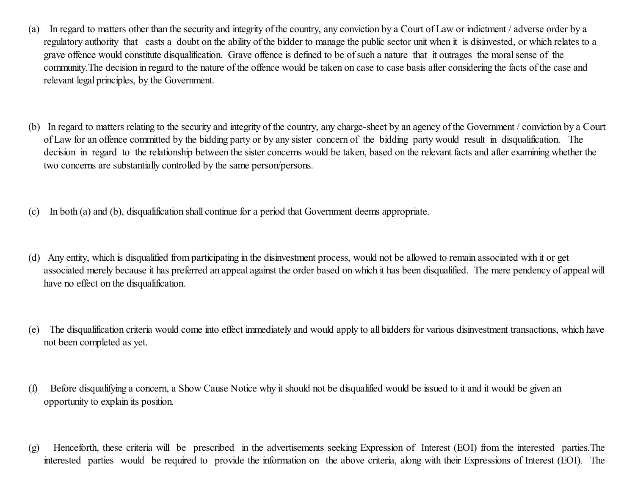- (a) In regard to matters other than the security and integrity of the country, any conviction by a Court of Law or indictment / adverse order by a regulatory authority that casts a doubt on the ability of the bidder to manage the public sector unit when it is disinvested, or which relates to a grave offence would constitute disqualification. Grave offence is defined to be ofsuch a nature that it outrages the moralsense of the community.The decision in regard to the nature of the offence would be taken on case to case basis after considering the facts of the case and relevant legal principles, by the Government.
- (b) In regard to matters relating to the security and integrity of the country, any charge-sheet by an agency of the Government / conviction by a Court of Law for an offence committed by the bidding party or by any sister concern of the bidding party would result in disqualification. The decision in regard to the relationship between the sister concerns would be taken, based on the relevant facts and after examining whether the two concerns are substantially controlled by the same person/persons.
- (c) In both (a) and (b), disqualification shall continue for a period that Government deems appropriate.
- (d) Any entity, which is disqualified from participating in the disinvestment process, would not be allowed to remain associated with it or get associated merely because it has preferred an appeal against the order based on which it has been disqualified. The mere pendency of appeal will have no effect on the disqualification.
- (e) The disqualification criteria would come into effect immediately and would apply to all bidders for various disinvestment transactions, which have not been completed as yet.
- (f) Before disqualifying a concern, a Show Cause Notice why it should not be disqualified would be issued to it and it would be given an opportunity to explain its position.
- (g) Henceforth, these criteria will be prescribed in the advertisements seeking Expression of Interest (EOI) from the interested parties.The interested parties would be required to provide the information on the above criteria, along with their Expressions of Interest (EOI). The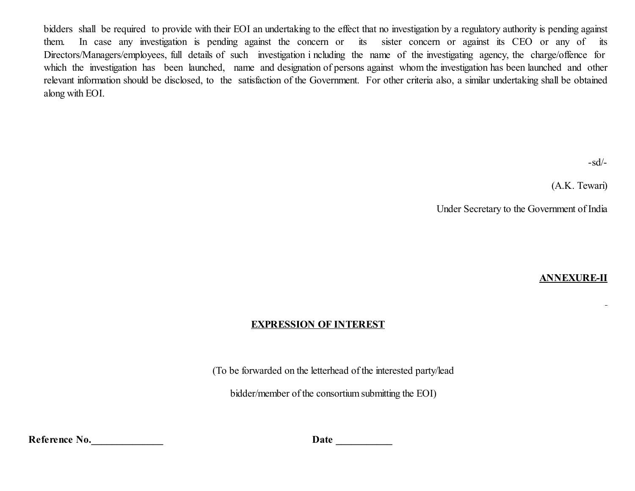bidders shall be required to provide with their EOI an undertaking to the effect that no investigation by a regulatory authority is pending against them. In case any investigation is pending against the concern or its sister concern or against its CEO or any of its Directors/Managers/employees, full details of such investigation i ncluding the name of the investigating agency, the charge/offence for which the investigation has been launched, name and designation of persons against whom the investigation has been launched and other relevant information should be disclosed, to the satisfaction of the Government. For other criteria also, a similar undertaking shall be obtained along with EOI.

 $-sd/-$ 

 $\blacksquare$ 

(A.K. Tewari)

Under Secretary to the Government of India

ANNEXURE-II

## EXPRESSION OF INTEREST

(To be forwarded on the letterhead of the interested party/lead

bidder/member of the consortium submitting the EOI)

Reference No. Date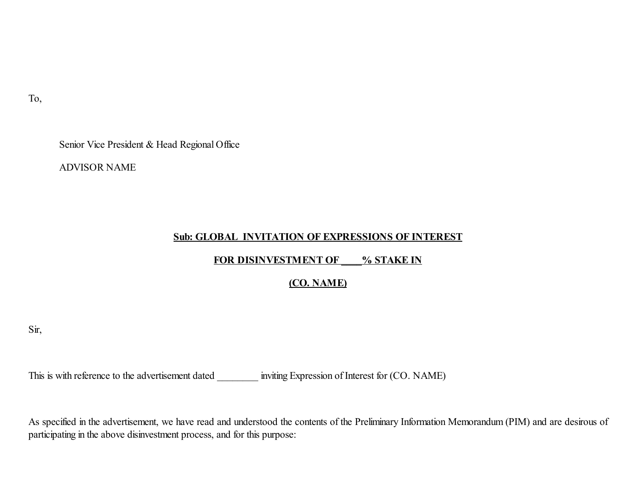To,

Senior Vice President & Head Regional Office

ADVISOR NAME

### Sub: GLOBAL INVITATION OF EXPRESSIONS OF INTEREST

## FOR DISINVESTMENT OF \_\_\_ % STAKE IN

## (CO. NAME)

Sir,

This is with reference to the advertisement dated inviting Expression of Interest for (CO. NAME)

As specified in the advertisement, we have read and understood the contents of the Preliminary Information Memorandum (PIM) and are desirous of participating in the above disinvestment process, and for this purpose: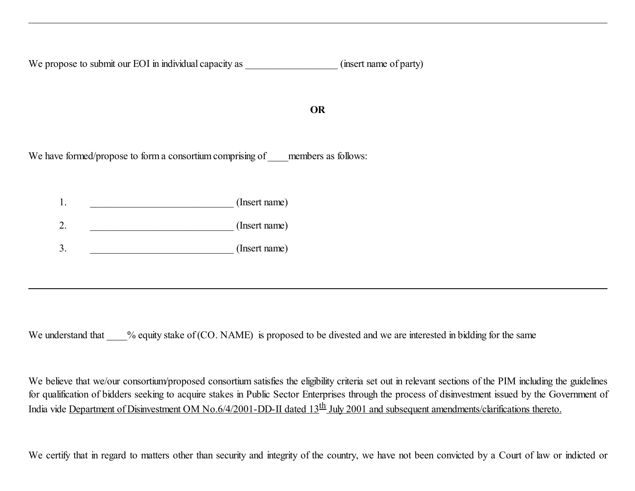We propose to submit our EOI in individual capacity as  $(insert name of party)$ 

OR

We have formed/propose to form a consortium comprising of \_\_\_\_\_members as follows:

| (Insert name) |
|---------------|
| (Insert name) |
| (Insert name) |

We understand that  $\%$  equity stake of (CO. NAME) is proposed to be divested and we are interested in bidding for the same

We believe that we/our consortium/proposed consortium satisfies the eligibility criteria set out in relevant sections of the PIM including the guidelines for qualification of bidders seeking to acquire stakes in Public Sector Enterprises through the process of disinvestment issued by the Government of India vide Department of Disinvestment OM No.6/4/2001-DD-II dated 13<sup>th</sup> July 2001 and subsequent amendments/clarifications thereto.

We certify that in regard to matters other than security and integrity of the country, we have not been convicted by a Court of law or indicted or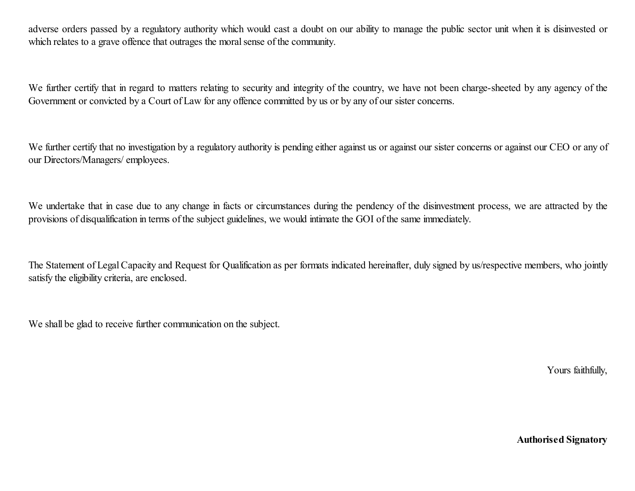adverse orders passed by a regulatory authority which would cast a doubt on our ability to manage the public sector unit when it is disinvested or which relates to a grave offence that outrages the moral sense of the community.

We further certify that in regard to matters relating to security and integrity of the country, we have not been charge-sheeted by any agency of the Government or convicted by a Court of Law for any offence committed by us or by any of our sister concerns.

We further certify that no investigation by a regulatory authority is pending either against us or against our sister concerns or against our CEO or any of our Directors/Managers/ employees.

We undertake that in case due to any change in facts or circumstances during the pendency of the disinvestment process, we are attracted by the provisions of disqualification in terms of the subject guidelines, we would intimate the GOI of the same immediately.

The Statement of Legal Capacity and Request for Qualification as per formats indicated hereinafter, duly signed by us/respective members, who jointly satisfy the eligibility criteria, are enclosed.

We shall be glad to receive further communication on the subject.

Yours faithfully,

Authorised Signatory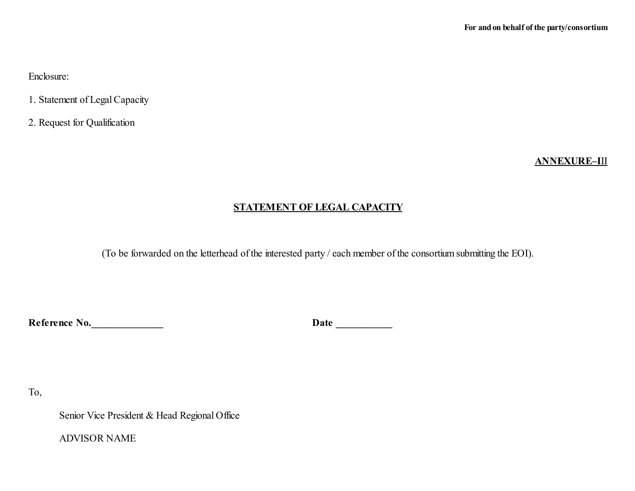Enclosure:

1. Statement of LegalCapacity

2. Request for Qualification

ANNEXURE–III

## STATEMENT OF LEGAL CAPACITY

(To be forwarded on the letterhead of the interested party / each member of the consortium submitting the EOI).

Reference No.\_\_\_\_\_\_\_\_\_\_\_\_\_\_ Date \_\_\_\_\_\_\_\_\_\_\_

To,

Senior Vice President & Head Regional Office

ADVISOR NAME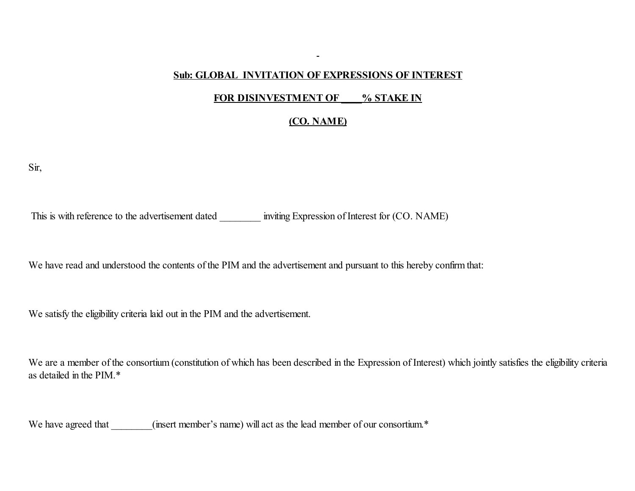#### Sub: GLOBAL INVITATION OF EXPRESSIONS OF INTEREST

 $\blacksquare$ 

## FOR DISINVESTMENT OF  $\frac{6}{5}$  STAKE IN

## (CO. NAME)

Sir,

This is with reference to the advertisement dated inviting Expression of Interest for (CO. NAME)

We have read and understood the contents of the PIM and the advertisement and pursuant to this hereby confirm that:

We satisfy the eligibility criteria laid out in the PIM and the advertisement.

We are a member of the consortium (constitution of which has been described in the Expression of Interest) which jointly satisfies the eligibility criteria as detailed in the PIM.\*

We have agreed that  $(insert member's name)$  will act as the lead member of our consortium.\*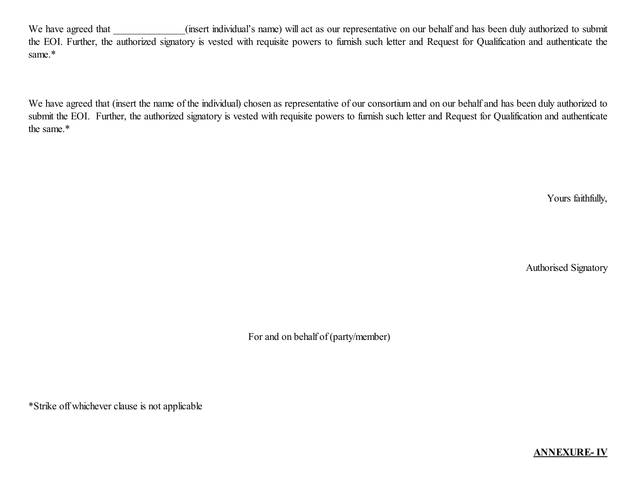We have agreed that (insert individual's name) will act as our representative on our behalf and has been duly authorized to submit the EOI. Further, the authorized signatory is vested with requisite powers to furnish such letter and Request for Qualification and authenticate the same.\*

We have agreed that (insert the name of the individual) chosen as representative of our consortium and on our behalf and has been duly authorized to submit the EOI. Further, the authorized signatory is vested with requisite powers to furnish such letter and Request for Qualification and authenticate the same.\*

Yours faithfully,

Authorised Signatory

For and on behalf of (party/member)

\*Strike off whichever clause is not applicable

## ANNEXURE- IV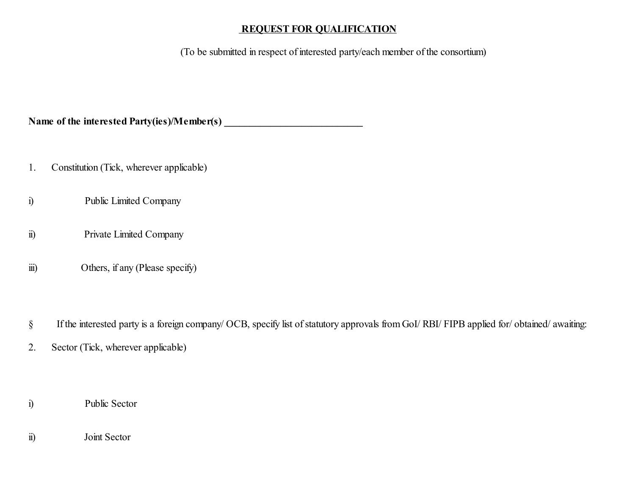## REQUEST FOR QUALIFICATION

(To be submitted in respect of interested party/each member of the consortium)

Name of the interested Party(ies)/Member(s)

- 1. Constitution (Tick, wherever applicable)
- i) Public Limited Company
- ii) Private Limited Company
- iii) Others, if any (Please specify)
- § If the interested party is a foreign company/ OCB, specify list of statutory approvals from GoI/ RBI/ FIPB applied for/ obtained/ awaiting:
- 2. Sector (Tick, wherever applicable)
- i) Public Sector
- ii) Joint Sector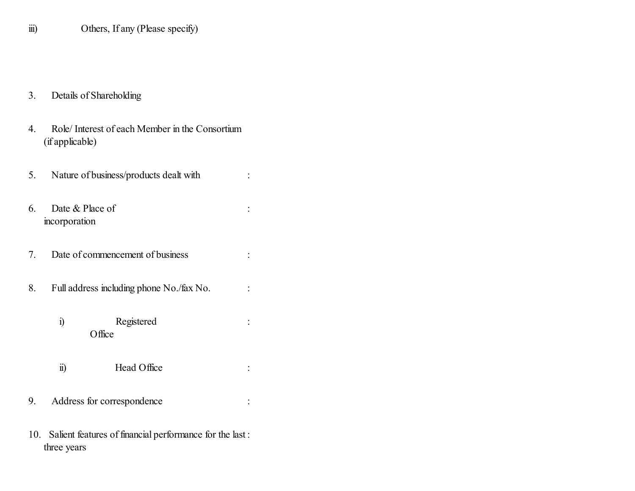iii) Others, If any (Please specify)

- 3. Details of Shareholding
- 4. Role/ Interest of each Member in the Consortium (if applicable)
- 5. Nature of business/products dealt with :
- 6. Date & Place of incorporation :
- 7. Date of commencement of business :
- 8. Full address including phone No./fax No. :
	- i) Registered **Office**

:

- ii) Head Office :
- 9. Address for correspondence :
- 10. Salient features of financial performance for the last :three years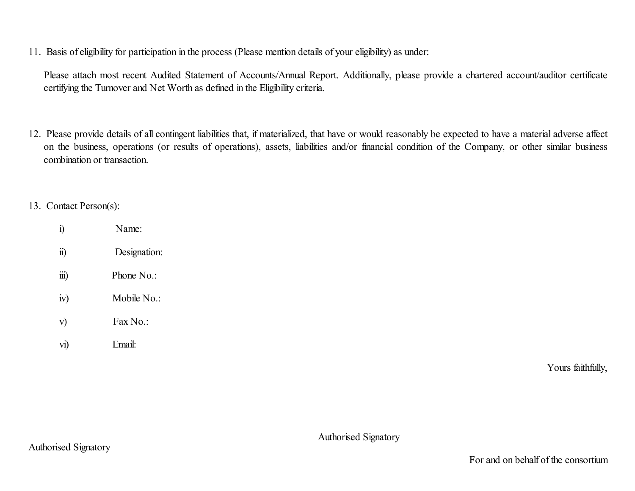11. Basis of eligibility for participation in the process (Please mention details of your eligibility) as under:

Please attach most recent Audited Statement of Accounts/Annual Report. Additionally, please provide a chartered account/auditor certificate certifying the Turnover and Net Worth as defined in the Eligibility criteria.

12. Please provide details of all contingent liabilities that, if materialized, that have or would reasonably be expected to have a material adverse affect on the business, operations (or results of operations), assets, liabilities and/or financial condition of the Company, or other similar business combination or transaction.

## 13. Contact Person(s):

i) Name: ii) Designation: iii) Phone No.: iv) Mobile No.: v) Fax No.:

vi) Email:

Yours faithfully,